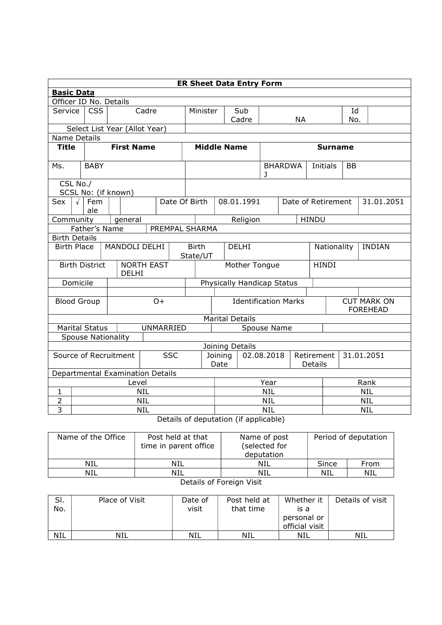| <b>ER Sheet Data Entry Form</b>                            |                                                                   |  |                                  |                             |                    |                              |                            |                                        |          |                                       |              |                              |      |  |  |  |
|------------------------------------------------------------|-------------------------------------------------------------------|--|----------------------------------|-----------------------------|--------------------|------------------------------|----------------------------|----------------------------------------|----------|---------------------------------------|--------------|------------------------------|------|--|--|--|
| <b>Basic Data</b>                                          |                                                                   |  |                                  |                             |                    |                              |                            |                                        |          |                                       |              |                              |      |  |  |  |
| Officer ID No. Details                                     |                                                                   |  |                                  |                             |                    |                              |                            |                                        |          |                                       |              |                              |      |  |  |  |
|                                                            | <b>CSS</b><br>Service<br>Cadre                                    |  |                                  |                             | Minister           |                              | Sub                        |                                        |          |                                       |              | Id                           |      |  |  |  |
|                                                            |                                                                   |  |                                  |                             |                    |                              |                            | Cadre                                  |          |                                       | <b>NA</b>    |                              | No.  |  |  |  |
|                                                            |                                                                   |  | Select List Year (Allot Year)    |                             |                    |                              |                            |                                        |          |                                       |              |                              |      |  |  |  |
| Name Details                                               |                                                                   |  |                                  |                             |                    |                              |                            |                                        |          |                                       |              |                              |      |  |  |  |
| <b>First Name</b><br><b>Title</b>                          |                                                                   |  |                                  |                             | <b>Middle Name</b> |                              |                            | <b>Surname</b>                         |          |                                       |              |                              |      |  |  |  |
|                                                            |                                                                   |  |                                  |                             |                    |                              | Initials<br><b>BB</b>      |                                        |          |                                       |              |                              |      |  |  |  |
| Ms.                                                        | <b>BABY</b>                                                       |  |                                  |                             |                    |                              |                            | <b>BHARDWA</b><br>1                    |          |                                       |              |                              |      |  |  |  |
| CSL No./                                                   |                                                                   |  |                                  |                             |                    |                              |                            |                                        |          |                                       |              |                              |      |  |  |  |
| SCSL No: (if known)                                        |                                                                   |  |                                  |                             |                    |                              |                            |                                        |          |                                       |              |                              |      |  |  |  |
| Sex                                                        | $\sqrt{ }$<br>Fem<br>Date Of Birth<br>ale                         |  |                                  |                             |                    | 08.01.1991                   |                            |                                        |          | Date of Retirement<br>31.01.2051      |              |                              |      |  |  |  |
|                                                            | Community<br>general                                              |  |                                  |                             |                    |                              |                            |                                        | Religion |                                       |              | <b>HINDU</b>                 |      |  |  |  |
| Father's Name<br>PREMPAL SHARMA                            |                                                                   |  |                                  |                             |                    |                              |                            |                                        |          |                                       |              |                              |      |  |  |  |
|                                                            | <b>Birth Details</b>                                              |  |                                  |                             |                    |                              |                            |                                        |          |                                       |              |                              |      |  |  |  |
| MANDOLI DELHI<br><b>Birth Place</b>                        |                                                                   |  |                                  |                             |                    | <b>Birth</b><br><b>DELHI</b> |                            |                                        |          |                                       |              | Nationality<br><b>INDIAN</b> |      |  |  |  |
|                                                            |                                                                   |  |                                  |                             |                    | State/UT                     |                            |                                        |          |                                       |              |                              |      |  |  |  |
| <b>NORTH EAST</b><br><b>Birth District</b><br><b>DELHI</b> |                                                                   |  |                                  |                             | Mother Tongue      |                              |                            |                                        |          |                                       | <b>HINDI</b> |                              |      |  |  |  |
| Domicile                                                   |                                                                   |  |                                  |                             |                    |                              | Physically Handicap Status |                                        |          |                                       |              |                              |      |  |  |  |
|                                                            |                                                                   |  |                                  |                             |                    |                              |                            |                                        |          |                                       |              |                              |      |  |  |  |
| <b>Blood Group</b><br>$O+$                                 |                                                                   |  |                                  | <b>Identification Marks</b> |                    |                              |                            |                                        |          | <b>CUT MARK ON</b><br><b>FOREHEAD</b> |              |                              |      |  |  |  |
| <b>Marital Details</b>                                     |                                                                   |  |                                  |                             |                    |                              |                            |                                        |          |                                       |              |                              |      |  |  |  |
|                                                            |                                                                   |  |                                  |                             | UNMARRIED          |                              |                            |                                        |          |                                       |              |                              |      |  |  |  |
|                                                            | <b>Marital Status</b><br>Spouse Name<br><b>Spouse Nationality</b> |  |                                  |                             |                    |                              |                            |                                        |          |                                       |              |                              |      |  |  |  |
|                                                            | Joining Details                                                   |  |                                  |                             |                    |                              |                            |                                        |          |                                       |              |                              |      |  |  |  |
| Source of Recruitment<br><b>SSC</b><br>Joining             |                                                                   |  |                                  |                             |                    |                              |                            | 02.08.2018<br>Retirement<br>31.01.2051 |          |                                       |              |                              |      |  |  |  |
|                                                            |                                                                   |  |                                  |                             | Date               |                              |                            |                                        |          | Details                               |              |                              |      |  |  |  |
|                                                            |                                                                   |  | Departmental Examination Details |                             |                    |                              |                            |                                        |          |                                       |              |                              |      |  |  |  |
|                                                            | Level                                                             |  |                                  |                             |                    |                              | Year                       |                                        |          |                                       |              |                              | Rank |  |  |  |
| 1                                                          | <b>NIL</b>                                                        |  |                                  |                             |                    | <b>NIL</b>                   |                            |                                        |          |                                       | <b>NIL</b>   |                              |      |  |  |  |
| $\overline{2}$                                             | <b>NIL</b>                                                        |  |                                  |                             |                    | <b>NIL</b>                   |                            |                                        |          | <b>NIL</b>                            |              |                              |      |  |  |  |
| 3                                                          | <b>NIL</b><br><b>NIL</b><br><b>NIL</b>                            |  |                                  |                             |                    |                              |                            |                                        |          |                                       |              |                              |      |  |  |  |
|                                                            | Details of deputation (if applicable)                             |  |                                  |                             |                    |                              |                            |                                        |          |                                       |              |                              |      |  |  |  |

Name of the Office | Post held at that time in parent office Name of post (selected for Period of deputation

deputation NIL NIL NIL Since From NIL NIL NIL NIL NIL Details of Foreign Visit

## Sl. No. Place of Visit Date of visit Post held at that time Whether it is a personal or official visit Details of visit NIL | NIL | NIL | NIL | NIL |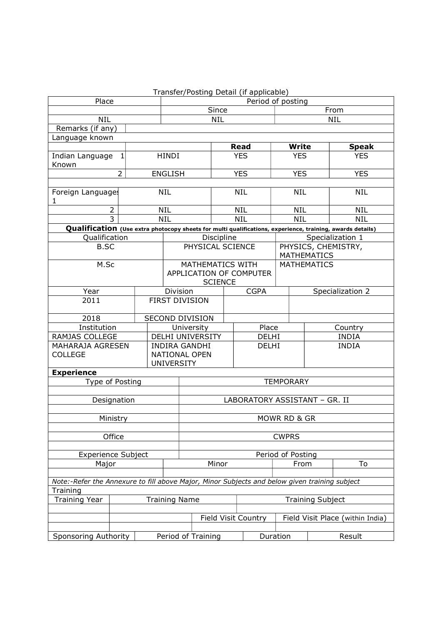|                                                                                                           |                                          | Transfer/Posting Detail (if applicable)            |                               |             |                            |                    |                    |                                  |  |  |
|-----------------------------------------------------------------------------------------------------------|------------------------------------------|----------------------------------------------------|-------------------------------|-------------|----------------------------|--------------------|--------------------|----------------------------------|--|--|
| Place                                                                                                     |                                          |                                                    | Period of posting             |             |                            |                    |                    |                                  |  |  |
|                                                                                                           |                                          | Since                                              |                               |             |                            |                    | From               |                                  |  |  |
| <b>NIL</b>                                                                                                |                                          |                                                    | <b>NIL</b><br><b>NIL</b>      |             |                            |                    |                    |                                  |  |  |
| Remarks (if any)                                                                                          |                                          |                                                    |                               |             |                            |                    |                    |                                  |  |  |
| Language known                                                                                            |                                          |                                                    |                               |             |                            |                    |                    |                                  |  |  |
|                                                                                                           |                                          |                                                    |                               | <b>Read</b> |                            |                    | <b>Write</b>       | <b>Speak</b>                     |  |  |
| 1<br>Indian Language<br>Known                                                                             |                                          | <b>HINDI</b>                                       |                               | <b>YES</b>  |                            | <b>YES</b>         |                    | <b>YES</b>                       |  |  |
| $\overline{2}$                                                                                            | <b>ENGLISH</b>                           |                                                    | <b>YES</b>                    |             | <b>YES</b>                 |                    | <b>YES</b>         |                                  |  |  |
| Foreign Languages                                                                                         | <b>NIL</b>                               |                                                    | <b>NIL</b>                    |             | <b>NIL</b>                 |                    | <b>NIL</b>         |                                  |  |  |
| 1                                                                                                         |                                          |                                                    |                               |             |                            |                    |                    |                                  |  |  |
| $\overline{2}$<br>$\overline{3}$                                                                          |                                          | <b>NIL</b><br><b>NIL</b>                           |                               | <b>NIL</b>  |                            | <b>NIL</b>         |                    | <b>NIL</b>                       |  |  |
|                                                                                                           |                                          |                                                    |                               | <b>NIL</b>  |                            | <b>NIL</b>         |                    | <b>NIL</b>                       |  |  |
| Qualification (Use extra photocopy sheets for multi qualifications, experience, training, awards details) |                                          |                                                    |                               |             |                            |                    |                    |                                  |  |  |
| Qualification                                                                                             |                                          |                                                    | Discipline                    |             |                            |                    |                    | Specialization 1                 |  |  |
| <b>B.SC</b>                                                                                               |                                          | PHYSICAL SCIENCE                                   |                               |             |                            |                    | <b>MATHEMATICS</b> | PHYSICS, CHEMISTRY,              |  |  |
| M.Sc                                                                                                      |                                          | <b>MATHEMATICS WITH</b><br>APPLICATION OF COMPUTER |                               |             |                            | <b>MATHEMATICS</b> |                    |                                  |  |  |
|                                                                                                           |                                          |                                                    | <b>SCIENCE</b>                |             |                            |                    |                    |                                  |  |  |
| Year                                                                                                      |                                          | Division                                           |                               |             |                            | <b>CGPA</b>        |                    | Specialization 2                 |  |  |
| 2011                                                                                                      | <b>FIRST DIVISION</b>                    |                                                    |                               |             |                            |                    |                    |                                  |  |  |
| 2018                                                                                                      |                                          | SECOND DIVISION                                    |                               |             |                            |                    |                    |                                  |  |  |
| Institution                                                                                               |                                          | University                                         |                               |             | Place                      |                    |                    | Country                          |  |  |
| RAMJAS COLLEGE                                                                                            |                                          | DELHI UNIVERSITY                                   |                               |             | DELHI                      |                    |                    | <b>INDIA</b>                     |  |  |
| MAHARAJA AGRESEN<br><b>COLLEGE</b>                                                                        |                                          | <b>INDIRA GANDHI</b><br>NATIONAL OPEN              |                               | DELHI       |                            |                    |                    | <b>INDIA</b>                     |  |  |
|                                                                                                           |                                          | <b>UNIVERSITY</b>                                  |                               |             |                            |                    |                    |                                  |  |  |
| <b>Experience</b>                                                                                         |                                          |                                                    |                               |             |                            |                    |                    |                                  |  |  |
| Type of Posting                                                                                           |                                          |                                                    | <b>TEMPORARY</b>              |             |                            |                    |                    |                                  |  |  |
| Designation                                                                                               |                                          |                                                    | LABORATORY ASSISTANT - GR. II |             |                            |                    |                    |                                  |  |  |
|                                                                                                           |                                          |                                                    |                               |             |                            |                    |                    |                                  |  |  |
| Ministry                                                                                                  |                                          | MOWR RD & GR                                       |                               |             |                            |                    |                    |                                  |  |  |
| Office                                                                                                    |                                          |                                                    | <b>CWPRS</b>                  |             |                            |                    |                    |                                  |  |  |
| <b>Experience Subject</b>                                                                                 |                                          | Period of Posting                                  |                               |             |                            |                    |                    |                                  |  |  |
| Major                                                                                                     |                                          | Minor                                              |                               |             |                            | To<br>From         |                    |                                  |  |  |
|                                                                                                           |                                          |                                                    |                               |             |                            |                    |                    |                                  |  |  |
| Note:-Refer the Annexure to fill above Major, Minor Subjects and below given training subject             |                                          |                                                    |                               |             |                            |                    |                    |                                  |  |  |
| Training                                                                                                  |                                          |                                                    |                               |             |                            |                    |                    |                                  |  |  |
| <b>Training Year</b>                                                                                      |                                          | <b>Training Name</b>                               |                               |             |                            |                    |                    | <b>Training Subject</b>          |  |  |
|                                                                                                           |                                          |                                                    |                               |             | <b>Field Visit Country</b> |                    |                    | Field Visit Place (within India) |  |  |
|                                                                                                           |                                          |                                                    |                               |             |                            |                    |                    |                                  |  |  |
| <b>Sponsoring Authority</b>                                                                               | Duration<br>Result<br>Period of Training |                                                    |                               |             |                            |                    |                    |                                  |  |  |